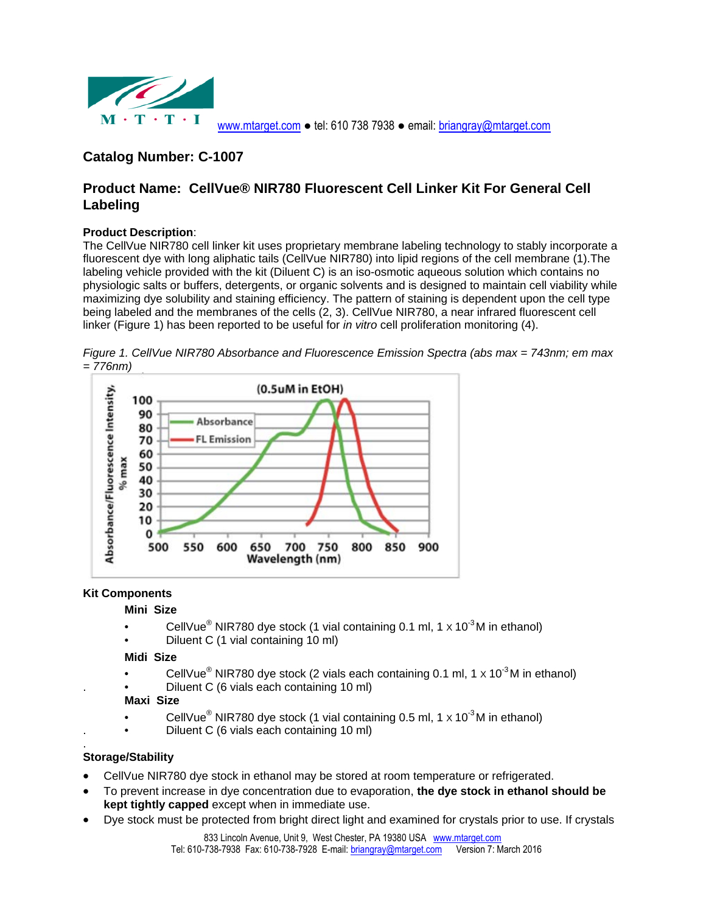

# **Catalog Number: C-1007**

# **Product Name: CellVue® NIR780 Fluorescent Cell Linker Kit For General Cell Labeling**

## **Product Description**:

The CellVue NIR780 cell linker kit uses proprietary membrane labeling technology to stably incorporate a fluorescent dye with long aliphatic tails (CellVue NIR780) into lipid regions of the cell membrane (1).The labeling vehicle provided with the kit (Diluent C) is an iso-osmotic aqueous solution which contains no physiologic salts or buffers, detergents, or organic solvents and is designed to maintain cell viability while maximizing dye solubility and staining efficiency. The pattern of staining is dependent upon the cell type being labeled and the membranes of the cells (2, 3). CellVue NIR780, a near infrared fluorescent cell linker (Figure 1) has been reported to be useful for *in vitro* cell proliferation monitoring (4).

*Figure 1. CellVue NIR780 Absorbance and Fluorescence Emission Spectra (abs max = 743nm; em max = 776nm)* 



# **Kit Components**

#### **Mini Size**

- CellVue<sup>®</sup> NIR780 dye stock (1 vial containing 0.1 ml, 1 x 10<sup>-3</sup>M in ethanol)
- Diluent C (1 vial containing 10 ml)

#### **Midi Size**

- CellVue<sup>®</sup> NIR780 dye stock (2 vials each containing 0.1 ml, 1 x 10<sup>-3</sup>M in ethanol)
- Diluent C (6 vials each containing 10 ml)

# **Maxi Size**

- CellVue<sup>®</sup> NIR780 dye stock (1 vial containing 0.5 ml, 1 x 10<sup>-3</sup>M in ethanol)
- Diluent C (6 vials each containing 10 ml)

#### . **Storage/Stability**

- CellVue NIR780 dye stock in ethanol may be stored at room temperature or refrigerated.
- To prevent increase in dye concentration due to evaporation, **the dye stock in ethanol should be kept tightly capped** except when in immediate use.
- Dye stock must be protected from bright direct light and examined for crystals prior to use. If crystals

833 Lincoln Avenue, Unit 9. West Chester, PA 19380 USA www.mtarget.com Tel: 610-738-7938 Fax: 610-738-7928 E-mail: briangray@mtarget.com Version 7: March 2016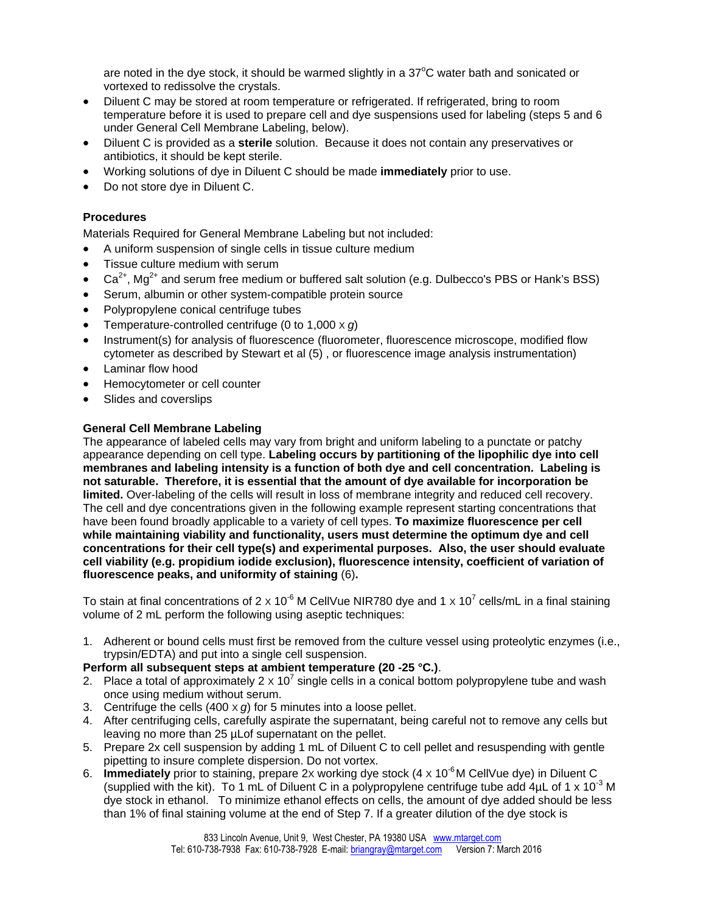are noted in the dye stock, it should be warmed slightly in a  $37^{\circ}$ C water bath and sonicated or vortexed to redissolve the crystals.

- Diluent C may be stored at room temperature or refrigerated. If refrigerated, bring to room temperature before it is used to prepare cell and dye suspensions used for labeling (steps 5 and 6 under General Cell Membrane Labeling, below).
- Diluent C is provided as a **sterile** solution. Because it does not contain any preservatives or antibiotics, it should be kept sterile.
- Working solutions of dye in Diluent C should be made **immediately** prior to use.
- Do not store dye in Diluent C.

## **Procedures**

Materials Required for General Membrane Labeling but not included:

- A uniform suspension of single cells in tissue culture medium
- Tissue culture medium with serum
- $Ca<sup>2+</sup>$ , Ma<sup>2+</sup> and serum free medium or buffered salt solution (e.g. Dulbecco's PBS or Hank's BSS)
- Serum, albumin or other system-compatible protein source
- Polypropylene conical centrifuge tubes
- Temperature-controlled centrifuge (0 to 1,000 X *g*)
- Instrument(s) for analysis of fluorescence (fluorometer, fluorescence microscope, modified flow cytometer as described by Stewart et al (5) , or fluorescence image analysis instrumentation)
- Laminar flow hood
- Hemocytometer or cell counter
- Slides and coverslips

## **General Cell Membrane Labeling**

The appearance of labeled cells may vary from bright and uniform labeling to a punctate or patchy appearance depending on cell type. **Labeling occurs by partitioning of the lipophilic dye into cell membranes and labeling intensity is a function of both dye and cell concentration. Labeling is not saturable. Therefore, it is essential that the amount of dye available for incorporation be limited.** Over-labeling of the cells will result in loss of membrane integrity and reduced cell recovery. The cell and dye concentrations given in the following example represent starting concentrations that have been found broadly applicable to a variety of cell types. **To maximize fluorescence per cell while maintaining viability and functionality, users must determine the optimum dye and cell concentrations for their cell type(s) and experimental purposes. Also, the user should evaluate cell viability (e.g. propidium iodide exclusion), fluorescence intensity, coefficient of variation of fluorescence peaks, and uniformity of staining** (6)**.** 

To stain at final concentrations of 2 x 10<sup>-6</sup> M CellVue NIR780 dye and 1 x 10<sup>7</sup> cells/mL in a final staining volume of 2 mL perform the following using aseptic techniques:

1. Adherent or bound cells must first be removed from the culture vessel using proteolytic enzymes (i.e., trypsin/EDTA) and put into a single cell suspension.

#### **Perform all subsequent steps at ambient temperature (20 -25 °C.)**.

- 2. Place a total of approximately 2  $\times$  10<sup>7</sup> single cells in a conical bottom polypropylene tube and wash once using medium without serum.
- 3. Centrifuge the cells  $(400 \times g)$  for 5 minutes into a loose pellet.
- 4. After centrifuging cells, carefully aspirate the supernatant, being careful not to remove any cells but leaving no more than 25 µLof supernatant on the pellet.
- 5. Prepare 2x cell suspension by adding 1 mL of Diluent C to cell pellet and resuspending with gentle pipetting to insure complete dispersion. Do not vortex.
- 6. **Immediately** prior to staining, prepare 2x working dye stock (4 x 10<sup>-6</sup>M CellVue dye) in Diluent C (supplied with the kit). To 1 mL of Diluent C in a polypropylene centrifuge tube add 4µL of 1 x 10<sup>-3</sup> M dye stock in ethanol. To minimize ethanol effects on cells, the amount of dye added should be less than 1% of final staining volume at the end of Step 7. If a greater dilution of the dye stock is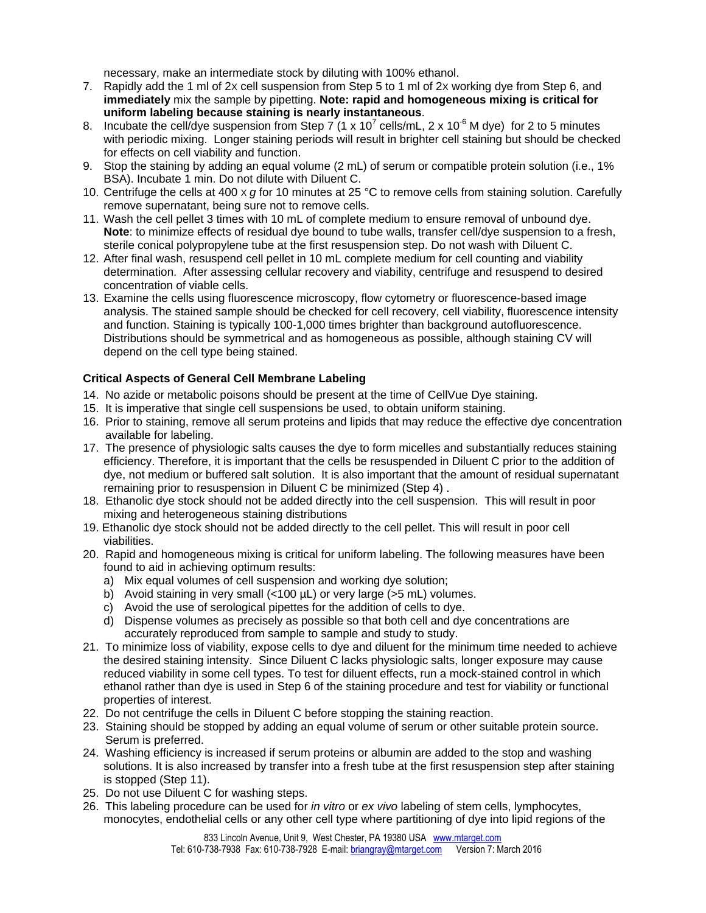necessary, make an intermediate stock by diluting with 100% ethanol.

- 7. Rapidly add the 1 ml of 2X cell suspension from Step 5 to 1 ml of 2X working dye from Step 6, and **immediately** mix the sample by pipetting. **Note: rapid and homogeneous mixing is critical for uniform labeling because staining is nearly instantaneous**.
- 8. Incubate the cell/dye suspension from Step 7 (1 x 10<sup>7</sup> cells/mL, 2 x 10<sup>-6</sup> M dye) for 2 to 5 minutes with periodic mixing. Longer staining periods will result in brighter cell staining but should be checked for effects on cell viability and function.
- 9. Stop the staining by adding an equal volume (2 mL) of serum or compatible protein solution (i.e., 1% BSA). Incubate 1 min. Do not dilute with Diluent C.
- 10. Centrifuge the cells at 400 X *g* for 10 minutes at 25 °C to remove cells from staining solution. Carefully remove supernatant, being sure not to remove cells.
- 11. Wash the cell pellet 3 times with 10 mL of complete medium to ensure removal of unbound dye. **Note**: to minimize effects of residual dye bound to tube walls, transfer cell/dye suspension to a fresh, sterile conical polypropylene tube at the first resuspension step. Do not wash with Diluent C.
- 12. After final wash, resuspend cell pellet in 10 mL complete medium for cell counting and viability determination. After assessing cellular recovery and viability, centrifuge and resuspend to desired concentration of viable cells.
- 13. Examine the cells using fluorescence microscopy, flow cytometry or fluorescence-based image analysis. The stained sample should be checked for cell recovery, cell viability, fluorescence intensity and function. Staining is typically 100-1,000 times brighter than background autofluorescence. Distributions should be symmetrical and as homogeneous as possible, although staining CV will depend on the cell type being stained.

## **Critical Aspects of General Cell Membrane Labeling**

- 14. No azide or metabolic poisons should be present at the time of CellVue Dye staining.
- 15. It is imperative that single cell suspensions be used, to obtain uniform staining.
- 16. Prior to staining, remove all serum proteins and lipids that may reduce the effective dye concentration available for labeling.
- 17. The presence of physiologic salts causes the dye to form micelles and substantially reduces staining efficiency. Therefore, it is important that the cells be resuspended in Diluent C prior to the addition of dye, not medium or buffered salt solution. It is also important that the amount of residual supernatant remaining prior to resuspension in Diluent C be minimized (Step 4) .
- 18. Ethanolic dye stock should not be added directly into the cell suspension. This will result in poor mixing and heterogeneous staining distributions
- 19. Ethanolic dye stock should not be added directly to the cell pellet. This will result in poor cell viabilities.
- 20. Rapid and homogeneous mixing is critical for uniform labeling. The following measures have been found to aid in achieving optimum results:
	- a) Mix equal volumes of cell suspension and working dye solution;
	- b) Avoid staining in very small (<100 µL) or very large (>5 mL) volumes.
	- c) Avoid the use of serological pipettes for the addition of cells to dye.
	- d) Dispense volumes as precisely as possible so that both cell and dye concentrations are accurately reproduced from sample to sample and study to study.
- 21. To minimize loss of viability, expose cells to dye and diluent for the minimum time needed to achieve the desired staining intensity. Since Diluent C lacks physiologic salts, longer exposure may cause reduced viability in some cell types. To test for diluent effects, run a mock-stained control in which ethanol rather than dye is used in Step 6 of the staining procedure and test for viability or functional properties of interest.
- 22. Do not centrifuge the cells in Diluent C before stopping the staining reaction.
- 23. Staining should be stopped by adding an equal volume of serum or other suitable protein source. Serum is preferred.
- 24. Washing efficiency is increased if serum proteins or albumin are added to the stop and washing solutions. It is also increased by transfer into a fresh tube at the first resuspension step after staining is stopped (Step 11).
- 25. Do not use Diluent C for washing steps.
- 26. This labeling procedure can be used for *in vitro* or *ex vivo* labeling of stem cells, lymphocytes, monocytes, endothelial cells or any other cell type where partitioning of dye into lipid regions of the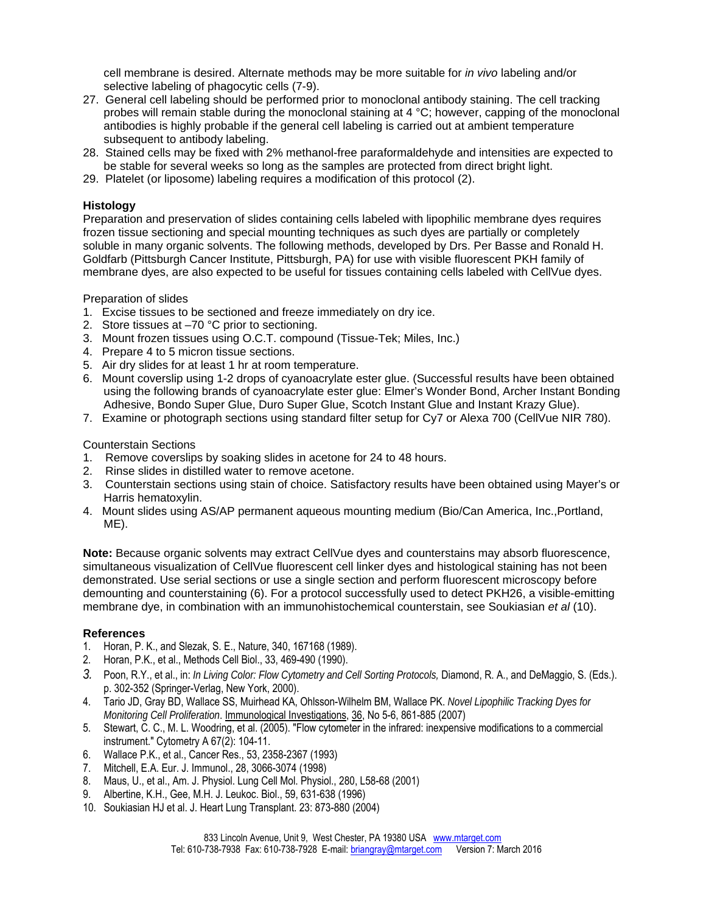cell membrane is desired. Alternate methods may be more suitable for *in vivo* labeling and/or selective labeling of phagocytic cells (7-9).

- 27. General cell labeling should be performed prior to monoclonal antibody staining. The cell tracking probes will remain stable during the monoclonal staining at 4 °C; however, capping of the monoclonal antibodies is highly probable if the general cell labeling is carried out at ambient temperature subsequent to antibody labeling.
- 28. Stained cells may be fixed with 2% methanol-free paraformaldehyde and intensities are expected to be stable for several weeks so long as the samples are protected from direct bright light.
- 29. Platelet (or liposome) labeling requires a modification of this protocol (2).

#### **Histology**

Preparation and preservation of slides containing cells labeled with lipophilic membrane dyes requires frozen tissue sectioning and special mounting techniques as such dyes are partially or completely soluble in many organic solvents. The following methods, developed by Drs. Per Basse and Ronald H. Goldfarb (Pittsburgh Cancer Institute, Pittsburgh, PA) for use with visible fluorescent PKH family of membrane dyes, are also expected to be useful for tissues containing cells labeled with CellVue dyes.

#### Preparation of slides

- 1. Excise tissues to be sectioned and freeze immediately on dry ice.
- 2. Store tissues at –70 °C prior to sectioning.
- 3. Mount frozen tissues using O.C.T. compound (Tissue-Tek; Miles, Inc.)
- 4. Prepare 4 to 5 micron tissue sections.
- 5. Air dry slides for at least 1 hr at room temperature.
- 6. Mount coverslip using 1-2 drops of cyanoacrylate ester glue. (Successful results have been obtained using the following brands of cyanoacrylate ester glue: Elmer's Wonder Bond, Archer Instant Bonding Adhesive, Bondo Super Glue, Duro Super Glue, Scotch Instant Glue and Instant Krazy Glue).
- 7. Examine or photograph sections using standard filter setup for Cy7 or Alexa 700 (CellVue NIR 780).

Counterstain Sections

- 1. Remove coverslips by soaking slides in acetone for 24 to 48 hours.
- 2. Rinse slides in distilled water to remove acetone.
- 3. Counterstain sections using stain of choice. Satisfactory results have been obtained using Mayer's or Harris hematoxylin.
- 4. Mount slides using AS/AP permanent aqueous mounting medium (Bio/Can America, Inc.,Portland, ME).

**Note:** Because organic solvents may extract CellVue dyes and counterstains may absorb fluorescence, simultaneous visualization of CellVue fluorescent cell linker dyes and histological staining has not been demonstrated. Use serial sections or use a single section and perform fluorescent microscopy before demounting and counterstaining (6). For a protocol successfully used to detect PKH26, a visible-emitting membrane dye, in combination with an immunohistochemical counterstain, see Soukiasian *et al* (10).

#### **References**

- 1. Horan, P. K., and Slezak, S. E., Nature, 340, 167168 (1989).
- 2. Horan, P.K., et al., Methods Cell Biol., 33, 469-490 (1990).
- *3.* Poon, R.Y., et al., in: *In Living Color: Flow Cytometry and Cell Sorting Protocols,* Diamond, R. A., and DeMaggio, S. (Eds.). p. 302-352 (Springer-Verlag, New York, 2000).
- 4. Tario JD, Gray BD, Wallace SS, Muirhead KA, Ohlsson-Wilhelm BM, Wallace PK. *Novel Lipophilic Tracking Dyes for Monitoring Cell Proliferation*. Immunological Investigations, 36, No 5-6, 861-885 (2007)
- 5. Stewart, C. C., M. L. Woodring, et al. (2005). "Flow cytometer in the infrared: inexpensive modifications to a commercial instrument." Cytometry A 67(2): 104-11.
- 6. Wallace P.K., et al., Cancer Res., 53, 2358-2367 (1993)
- 7. Mitchell, E.A. Eur. J. Immunol., 28, 3066-3074 (1998)
- 8. Maus, U., et al., Am. J. Physiol. Lung Cell Mol. Physiol., 280, L58-68 (2001)
- 9. Albertine, K.H., Gee, M.H. J. Leukoc. Biol., 59, 631-638 (1996)
- 10. Soukiasian HJ et al. J. Heart Lung Transplant. 23: 873-880 (2004)